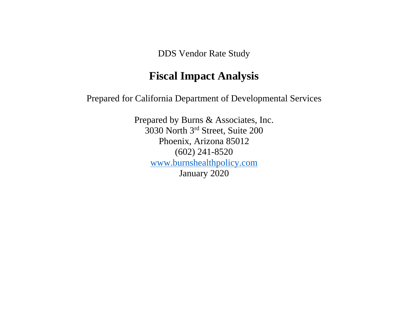DDS Vendor Rate Study

# **Fiscal Impact Analysis**

Prepared for California Department of Developmental Services

Prepared by Burns & Associates, Inc. 3030 North 3rd Street, Suite 200 Phoenix, Arizona 85012 (602) 241-8520 [www.burnshealthpolicy.com](http://www.burnshealthpolicy.com/) January 2020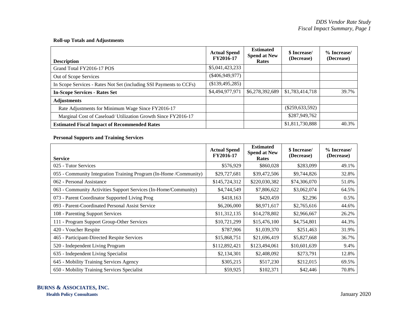## **Roll-up Totals and Adjustments**

| <b>Description</b>                                                 | <b>Actual Spend</b><br>FY2016-17 | <b>Estimated</b><br><b>Spend at New</b><br><b>Rates</b> | \$ Increase/<br>(Decrease) | % Increase/<br>(Decrease) |
|--------------------------------------------------------------------|----------------------------------|---------------------------------------------------------|----------------------------|---------------------------|
| Grand Total FY2016-17 POS                                          | \$5,041,423,233                  |                                                         |                            |                           |
| Out of Scope Services                                              | $(\$406,949,977)$                |                                                         |                            |                           |
| In Scope Services - Rates Not Set (including SSI Payments to CCFs) | $(\$139,495,285)$                |                                                         |                            |                           |
| <b>In-Scope Services - Rates Set</b>                               | \$4,494,977,971                  | \$6,278,392,689                                         | \$1,783,414,718            | 39.7%                     |
| <b>Adjustments</b>                                                 |                                  |                                                         |                            |                           |
| Rate Adjustments for Minimum Wage Since FY2016-17                  |                                  |                                                         | $(\$259,633,592)$          |                           |
| Marginal Cost of Caseload/ Utilization Growth Since FY2016-17      |                                  |                                                         | \$287,949,762              |                           |
| <b>Estimated Fiscal Impact of Recommended Rates</b>                |                                  |                                                         | \$1,811,730,888            | 40.3%                     |

## **Personal Supports and Training Services**

| <b>Service</b>                                                    | <b>Actual Spend</b><br>FY2016-17 | <b>Estimated</b><br><b>Spend at New</b><br>Rates | \$ Increase/<br>(Decrease) | % Increase/<br>(Decrease) |
|-------------------------------------------------------------------|----------------------------------|--------------------------------------------------|----------------------------|---------------------------|
| 025 - Tutor Services                                              | \$576,929                        | \$860,028                                        | \$283,099                  | 49.1%                     |
| 055 - Community Integration Training Program (In-Home /Community) | \$29,727,681                     | \$39,472,506                                     | \$9,744,826                | 32.8%                     |
| 062 - Personal Assistance                                         | \$145,724,312                    | \$220,030,382                                    | \$74,306,070               | 51.0%                     |
| 063 - Community Activities Support Services (In-Home/Community)   | \$4,744,549                      | \$7,806,622                                      | \$3,062,074                | 64.5%                     |
| 073 - Parent Coordinator Supported Living Prog                    | \$418,163                        | \$420,459                                        | \$2,296                    | $0.5\%$                   |
| 093 - Parent-Coordinated Personal Assist Service                  | \$6,206,000                      | \$8,971,617                                      | \$2,765,616                | 44.6%                     |
| 108 - Parenting Support Services                                  | \$11,312,135                     | \$14,278,802                                     | \$2,966,667                | 26.2%                     |
| 111 - Program Support Group-Other Services                        | \$10,721,299                     | \$15,476,100                                     | \$4,754,801                | 44.3%                     |
| 420 - Voucher Respite                                             | \$787,906                        | \$1,039,370                                      | \$251,463                  | 31.9%                     |
| 465 - Participant-Directed Respite Services                       | \$15,868,751                     | \$21,696,419                                     | \$5,827,668                | 36.7%                     |
| 520 - Independent Living Program                                  | \$112,892,421                    | \$123,494,061                                    | \$10,601,639               | 9.4%                      |
| 635 - Independent Living Specialist                               | \$2,134,301                      | \$2,408,092                                      | \$273,791                  | 12.8%                     |
| 645 - Mobility Training Services Agency                           | \$305,215                        | \$517,230                                        | \$212,015                  | 69.5%                     |
| 650 - Mobility Training Services Specialist                       | \$59,925                         | \$102,371                                        | \$42,446                   | 70.8%                     |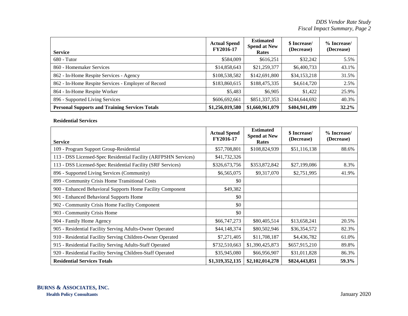| <b>Service</b>                                        | <b>Actual Spend</b><br>FY2016-17 | <b>Estimated</b><br><b>Spend at New</b><br>Rates | \$ Increase/<br>(Decrease) | % Increase/<br>(Decrease) |
|-------------------------------------------------------|----------------------------------|--------------------------------------------------|----------------------------|---------------------------|
| $680 - Tutor$                                         | \$584,009                        | \$616,251                                        | \$32,242                   | 5.5%                      |
| 860 - Homemaker Services                              | \$14,858,643                     | \$21,259,377                                     | \$6,400,733                | 43.1%                     |
| 862 - In-Home Respite Services - Agency               | \$108,538,582                    | \$142,691,800                                    | \$34,153,218               | 31.5%                     |
| 862 - In-Home Respite Services - Employer of Record   | \$183,860,615                    | \$188,475,335                                    | \$4,614,720                | 2.5%                      |
| 864 - In-Home Respite Worker                          | \$5,483                          | \$6,905                                          | \$1,422                    | 25.9%                     |
| 896 - Supported Living Services                       | \$606,692,661                    | \$851,337,353                                    | \$244,644,692              | 40.3%                     |
| <b>Personal Supports and Training Services Totals</b> | \$1,256,019,580                  | \$1,660,961,079                                  | \$404,941,499              | 32.2%                     |

## **Residential Services**

|                                                                 | <b>Actual Spend</b> | <b>Estimated</b><br><b>Spend at New</b> | \$ Increase/  | % Increase/ |
|-----------------------------------------------------------------|---------------------|-----------------------------------------|---------------|-------------|
| <b>Service</b>                                                  | FY2016-17           | <b>Rates</b>                            | (Decrease)    | (Decrease)  |
| 109 - Program Support Group-Residential                         | \$57,708,801        | \$108,824,939                           | \$51,116,138  | 88.6%       |
| 113 - DSS Licensed-Spec Residential Facility (ARFPSHN Services) | \$41,732,326        |                                         |               |             |
| 113 - DSS Licensed-Spec Residential Facility (SRF Services)     | \$326,673,756       | \$353,872,842                           | \$27,199,086  | 8.3%        |
| 896 - Supported Living Services (Community)                     | \$6,565,075         | \$9,317,070                             | \$2,751,995   | 41.9%       |
| 899 - Community Crisis Home Transitional Costs                  | \$0                 |                                         |               |             |
| 900 - Enhanced Behavioral Supports Home Facility Component      | \$49,382            |                                         |               |             |
| 901 - Enhanced Behavioral Supports Home                         | \$0                 |                                         |               |             |
| 902 - Community Crisis Home Facility Component                  | \$0                 |                                         |               |             |
| 903 - Community Crisis Home                                     | \$0                 |                                         |               |             |
| 904 - Family Home Agency                                        | \$66,747,273        | \$80,405,514                            | \$13,658,241  | 20.5%       |
| 905 - Residential Facility Serving Adults-Owner Operated        | \$44,148,374        | \$80,502,946                            | \$36,354,572  | 82.3%       |
| 910 - Residential Facility Serving Children-Owner Operated      | \$7,271,405         | \$11,708,187                            | \$4,436,782   | 61.0%       |
| 915 - Residential Facility Serving Adults-Staff Operated        | \$732,510,663       | \$1,390,425,873                         | \$657,915,210 | 89.8%       |
| 920 - Residential Facility Serving Children-Staff Operated      | \$35,945,080        | \$66,956,907                            | \$31,011,828  | 86.3%       |
| <b>Residential Services Totals</b>                              | \$1,319,352,135     | \$2,102,014,278                         | \$824,443,851 | 59.3%       |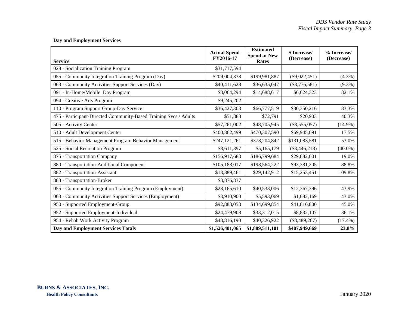## **Day and Employment Services**

| <b>Service</b>                                                    | <b>Actual Spend</b><br>FY2016-17 | <b>Estimated</b><br><b>Spend at New</b><br>Rates | \$ Increase/<br>(Decrease) | % Increase/<br>(Decrease) |
|-------------------------------------------------------------------|----------------------------------|--------------------------------------------------|----------------------------|---------------------------|
| 028 - Socialization Training Program                              | \$31,717,594                     |                                                  |                            |                           |
| 055 - Community Integration Training Program (Day)                | \$209,004,338                    | \$199,981,887                                    | $(\$9,022,451)$            | $(4.3\%)$                 |
| 063 - Community Activities Support Services (Day)                 | \$40,411,628                     | \$36,635,047                                     | $(\$3,776,581)$            | $(9.3\%)$                 |
| 091 - In-Home/Mobile Day Program                                  | \$8,064,294                      | \$14,688,617                                     | \$6,624,323                | 82.1%                     |
| 094 - Creative Arts Program                                       | \$9,245,202                      |                                                  |                            |                           |
| 110 - Program Support Group-Day Service                           | \$36,427,303                     | \$66,777,519                                     | \$30,350,216               | 83.3%                     |
| 475 - Participant-Directed Community-Based Training Svcs./ Adults | \$51,888                         | \$72,791                                         | \$20,903                   | 40.3%                     |
| 505 - Activity Center                                             | \$57,261,002                     | \$48,705,945                                     | $(\$8,555,057)$            | $(14.9\%)$                |
| 510 - Adult Development Center                                    | \$400,362,499                    | \$470,307,590                                    | \$69,945,091               | 17.5%                     |
| 515 - Behavior Management Program Behavior Management             | \$247,121,261                    | \$378,204,842                                    | \$131,083,581              | 53.0%                     |
| 525 - Social Recreation Program                                   | \$8,611,397                      | \$5,165,179                                      | $(\$3,446,218)$            | $(40.0\%)$                |
| 875 - Transportation Company                                      | \$156,917,683                    | \$186,799,684                                    | \$29,882,001               | 19.0%                     |
| 880 - Transportation-Additional Component                         | \$105,183,017                    | \$198,564,222                                    | \$93,381,205               | 88.8%                     |
| 882 - Transportation-Assistant                                    | \$13,889,461                     | \$29,142,912                                     | \$15,253,451               | 109.8%                    |
| 883 - Transportation-Broker                                       | \$3,876,837                      |                                                  |                            |                           |
| 055 - Community Integration Training Program (Employment)         | \$28,165,610                     | \$40,533,006                                     | \$12,367,396               | 43.9%                     |
| 063 - Community Activities Support Services (Employment)          | \$3,910,900                      | \$5,593,069                                      | \$1,682,169                | 43.0%                     |
| 950 - Supported Employment-Group                                  | \$92,883,053                     | \$134,699,854                                    | \$41,816,800               | 45.0%                     |
| 952 - Supported Employment-Individual                             | \$24,479,908                     | \$33,312,015                                     | \$8,832,107                | 36.1%                     |
| 954 - Rehab Work Activity Program                                 | \$48,816,190                     | \$40,326,922                                     | $(\$8,489,267)$            | $(17.4\%)$                |
| <b>Day and Employment Services Totals</b>                         | \$1,526,401,065                  | \$1,889,511,101                                  | \$407,949,669              | 23.8%                     |